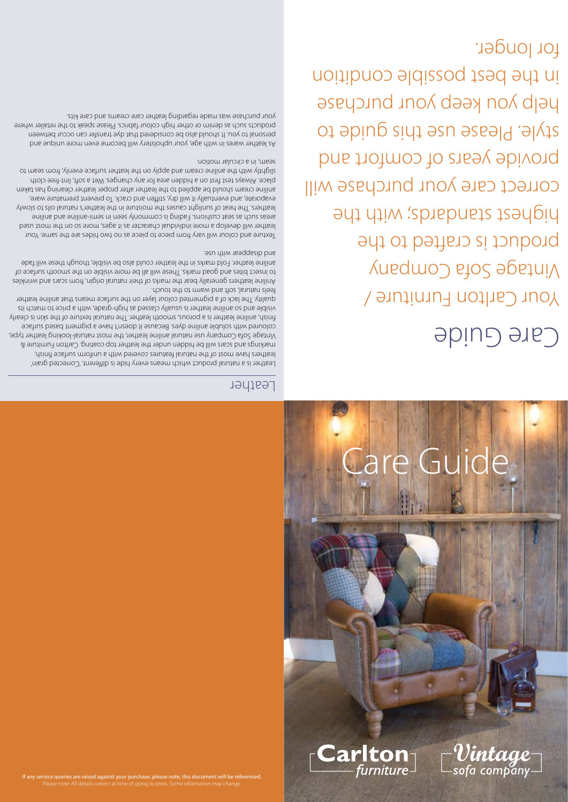

# Lare Guid

#### Leather

Leather is a natural product which means every hide is different. 'Corrected grain' leathers have most of the natural features covered with a uniform surface finish, markings and scars will be hidden under the leather top coating. Carlton Furniture & Vintage Sofa Company use natural aniline leather, the most natural-looking leather type, coloured with soluble aniline dyes. Because it doesn't have a pigment based surface finish, aniline leather is a porous, smooth leather. The natural texture of the skin is clearly visible and so aniline leather is usually classed as high-grade, with a price to match its quality. The lack of a pigmented colour layer on the surface means that aniline leather

feels natural, soft and warm to the touch. Aniline leathers generally bear the marks of their natural origin, from scars and wrinkles to insect bites and goad marks. These will all be more visible on the smooth surface of aniline leather. Fold marks in the leather could also be visible, though these will fade and disappear with use.

Texture and colour will vary from piece to piece as no two hides are the same. Your leather will develop a more individual character as it ages, more so on the most used auilins bns sailins-imes ni nees vlnommop ai pnibs anoinaup tees as dous asens leathers. The heat of sunlight causes the moisture in the leather's natural oils to slowly evaporate, and eventually it will dry, stiffen and crack. To prevent premature ware, aniline cream should be applied to the leather after proper leather cleaning has taken place. Always test first on a hidden area for any changes. Wet a soft, lint-free cloth slightly with the aniline cream and apply on the leather surface evenly, from seam to seam, in a circular motion.

As leather wares in with age, your upholstery will become even more unique and personal to you. It should also be considered that dye transfer can occur between products such as denim or other high colour fabrics. Please speak to the retailer where your purchase was made regarding leather care creams and care kits.

## Care Guide

Your Carlton Furniture / Vintage Sofa Company product is crafted to the highest standards; with the correct care your purchase will provide years of comfort and style. Please use this guide to help you keep your purchase in the best possible condition for longer.